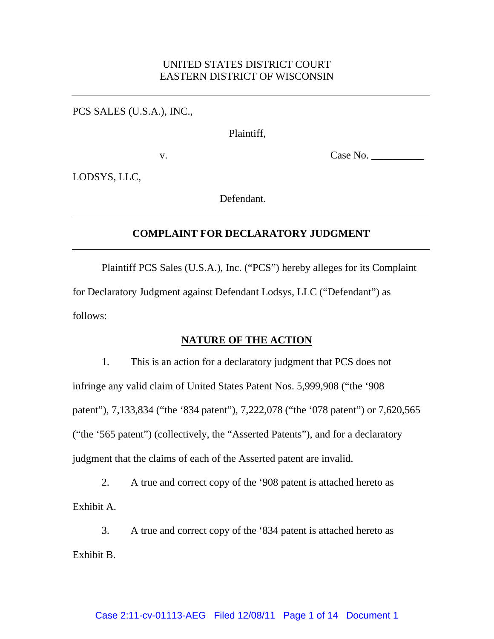# UNITED STATES DISTRICT COURT EASTERN DISTRICT OF WISCONSIN

PCS SALES (U.S.A.), INC.,

Plaintiff,

v.

Case No. \_\_\_\_\_\_\_\_\_\_

LODSYS, LLC,

Defendant.

# **COMPLAINT FOR DECLARATORY JUDGMENT**

Plaintiff PCS Sales (U.S.A.), Inc. ("PCS") hereby alleges for its Complaint for Declaratory Judgment against Defendant Lodsys, LLC ("Defendant") as follows:

# **NATURE OF THE ACTION**

1. This is an action for a declaratory judgment that PCS does not infringe any valid claim of United States Patent Nos. 5,999,908 ("the '908 patent"), 7,133,834 ("the '834 patent"), 7,222,078 ("the '078 patent") or 7,620,565 ("the '565 patent") (collectively, the "Asserted Patents"), and for a declaratory judgment that the claims of each of the Asserted patent are invalid.

2. A true and correct copy of the '908 patent is attached hereto as Exhibit A.

3. A true and correct copy of the '834 patent is attached hereto as Exhibit B.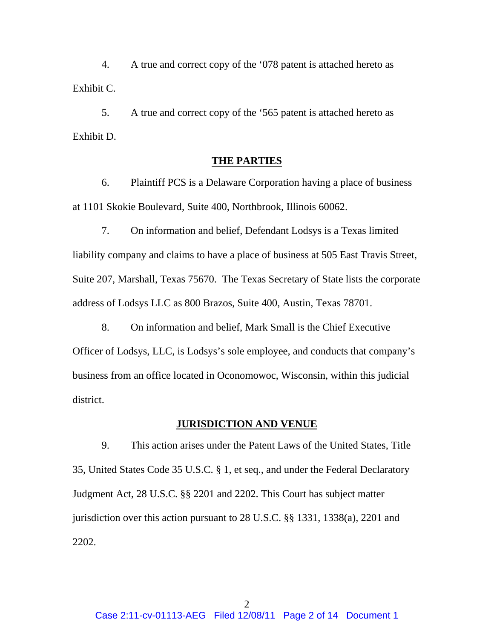4. A true and correct copy of the '078 patent is attached hereto as Exhibit C.

5. A true and correct copy of the '565 patent is attached hereto as Exhibit D.

## **THE PARTIES**

6. Plaintiff PCS is a Delaware Corporation having a place of business at 1101 Skokie Boulevard, Suite 400, Northbrook, Illinois 60062.

7. On information and belief, Defendant Lodsys is a Texas limited liability company and claims to have a place of business at 505 East Travis Street, Suite 207, Marshall, Texas 75670. The Texas Secretary of State lists the corporate address of Lodsys LLC as 800 Brazos, Suite 400, Austin, Texas 78701.

8. On information and belief, Mark Small is the Chief Executive Officer of Lodsys, LLC, is Lodsys's sole employee, and conducts that company's business from an office located in Oconomowoc, Wisconsin, within this judicial district.

# **JURISDICTION AND VENUE**

9. This action arises under the Patent Laws of the United States, Title 35, United States Code 35 U.S.C. § 1, et seq., and under the Federal Declaratory Judgment Act, 28 U.S.C. §§ 2201 and 2202. This Court has subject matter jurisdiction over this action pursuant to 28 U.S.C. §§ 1331, 1338(a), 2201 and 2202.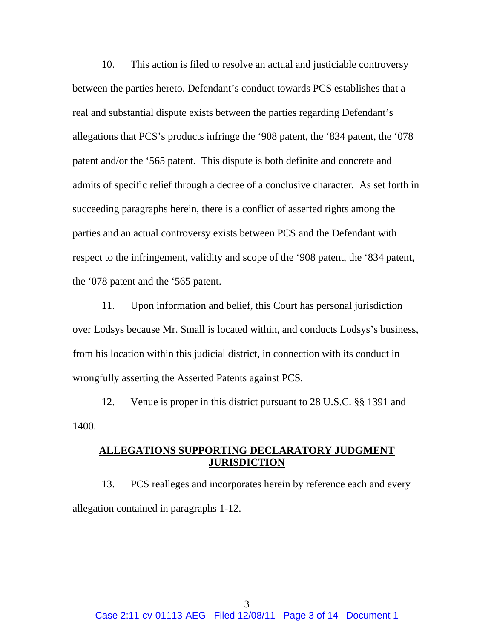10. This action is filed to resolve an actual and justiciable controversy between the parties hereto. Defendant's conduct towards PCS establishes that a real and substantial dispute exists between the parties regarding Defendant's allegations that PCS's products infringe the '908 patent, the '834 patent, the '078 patent and/or the '565 patent. This dispute is both definite and concrete and admits of specific relief through a decree of a conclusive character. As set forth in succeeding paragraphs herein, there is a conflict of asserted rights among the parties and an actual controversy exists between PCS and the Defendant with respect to the infringement, validity and scope of the '908 patent, the '834 patent, the '078 patent and the '565 patent.

11. Upon information and belief, this Court has personal jurisdiction over Lodsys because Mr. Small is located within, and conducts Lodsys's business, from his location within this judicial district, in connection with its conduct in wrongfully asserting the Asserted Patents against PCS.

12. Venue is proper in this district pursuant to 28 U.S.C. §§ 1391 and 1400.

# **ALLEGATIONS SUPPORTING DECLARATORY JUDGMENT JURISDICTION**

13. PCS realleges and incorporates herein by reference each and every allegation contained in paragraphs 1-12.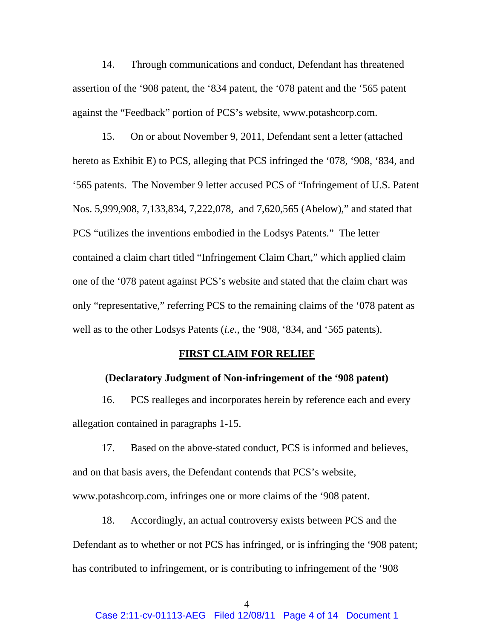14. Through communications and conduct, Defendant has threatened assertion of the '908 patent, the '834 patent, the '078 patent and the '565 patent against the "Feedback" portion of PCS's website, www.potashcorp.com.

15. On or about November 9, 2011, Defendant sent a letter (attached hereto as Exhibit E) to PCS, alleging that PCS infringed the '078, '908, '834, and '565 patents. The November 9 letter accused PCS of "Infringement of U.S. Patent Nos. 5,999,908, 7,133,834, 7,222,078, and 7,620,565 (Abelow)," and stated that PCS "utilizes the inventions embodied in the Lodsys Patents." The letter contained a claim chart titled "Infringement Claim Chart," which applied claim one of the '078 patent against PCS's website and stated that the claim chart was only "representative," referring PCS to the remaining claims of the '078 patent as well as to the other Lodsys Patents (*i.e.*, the '908, '834, and '565 patents).

### **FIRST CLAIM FOR RELIEF**

### **(Declaratory Judgment of Non-infringement of the '908 patent)**

16. PCS realleges and incorporates herein by reference each and every allegation contained in paragraphs 1-15.

17. Based on the above-stated conduct, PCS is informed and believes, and on that basis avers, the Defendant contends that PCS's website, www.potashcorp.com, infringes one or more claims of the '908 patent.

18. Accordingly, an actual controversy exists between PCS and the Defendant as to whether or not PCS has infringed, or is infringing the '908 patent; has contributed to infringement, or is contributing to infringement of the '908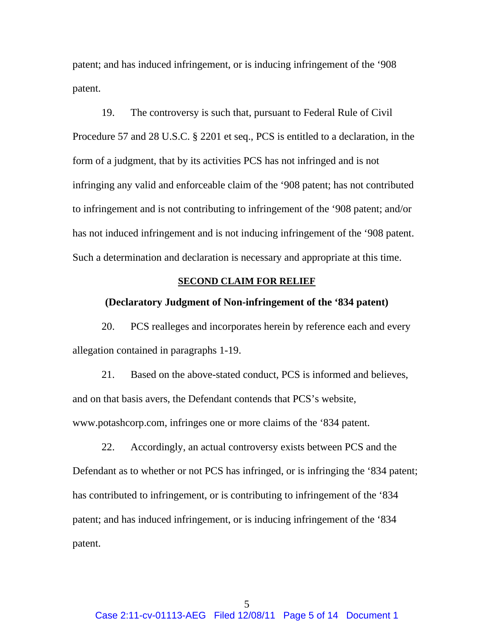patent; and has induced infringement, or is inducing infringement of the '908 patent.

19. The controversy is such that, pursuant to Federal Rule of Civil Procedure 57 and 28 U.S.C. § 2201 et seq., PCS is entitled to a declaration, in the form of a judgment, that by its activities PCS has not infringed and is not infringing any valid and enforceable claim of the '908 patent; has not contributed to infringement and is not contributing to infringement of the '908 patent; and/or has not induced infringement and is not inducing infringement of the '908 patent. Such a determination and declaration is necessary and appropriate at this time.

## **SECOND CLAIM FOR RELIEF**

## **(Declaratory Judgment of Non-infringement of the '834 patent)**

20. PCS realleges and incorporates herein by reference each and every allegation contained in paragraphs 1-19.

21. Based on the above-stated conduct, PCS is informed and believes, and on that basis avers, the Defendant contends that PCS's website, www.potashcorp.com, infringes one or more claims of the '834 patent.

22. Accordingly, an actual controversy exists between PCS and the Defendant as to whether or not PCS has infringed, or is infringing the '834 patent; has contributed to infringement, or is contributing to infringement of the '834 patent; and has induced infringement, or is inducing infringement of the '834 patent.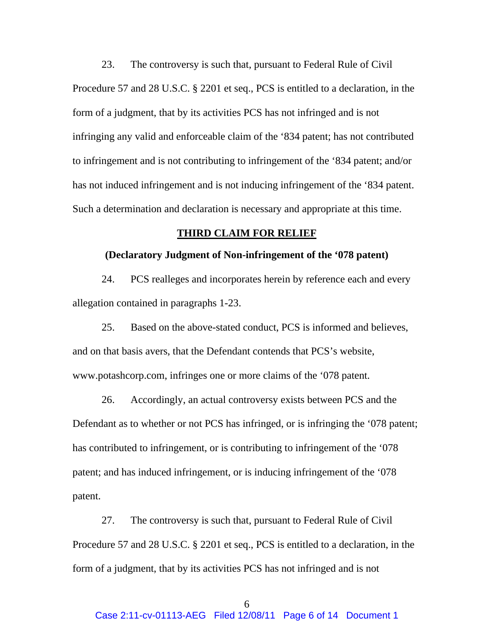23. The controversy is such that, pursuant to Federal Rule of Civil Procedure 57 and 28 U.S.C. § 2201 et seq., PCS is entitled to a declaration, in the form of a judgment, that by its activities PCS has not infringed and is not infringing any valid and enforceable claim of the '834 patent; has not contributed to infringement and is not contributing to infringement of the '834 patent; and/or has not induced infringement and is not inducing infringement of the '834 patent. Such a determination and declaration is necessary and appropriate at this time.

#### **THIRD CLAIM FOR RELIEF**

### **(Declaratory Judgment of Non-infringement of the '078 patent)**

24. PCS realleges and incorporates herein by reference each and every allegation contained in paragraphs 1-23.

25. Based on the above-stated conduct, PCS is informed and believes, and on that basis avers, that the Defendant contends that PCS's website, www.potashcorp.com, infringes one or more claims of the '078 patent.

26. Accordingly, an actual controversy exists between PCS and the Defendant as to whether or not PCS has infringed, or is infringing the '078 patent; has contributed to infringement, or is contributing to infringement of the '078 patent; and has induced infringement, or is inducing infringement of the '078 patent.

27. The controversy is such that, pursuant to Federal Rule of Civil Procedure 57 and 28 U.S.C. § 2201 et seq., PCS is entitled to a declaration, in the form of a judgment, that by its activities PCS has not infringed and is not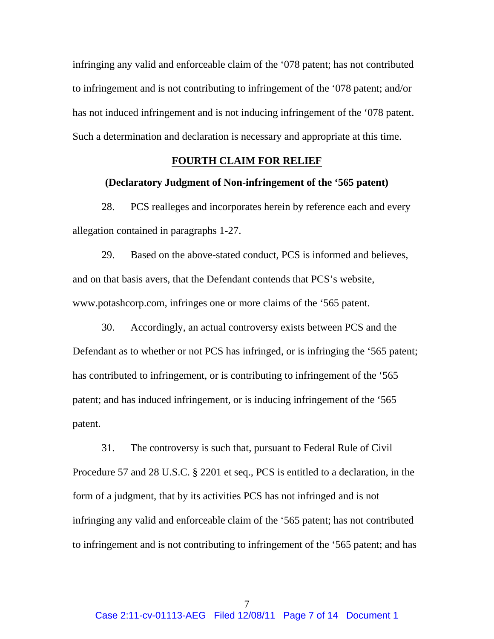infringing any valid and enforceable claim of the '078 patent; has not contributed to infringement and is not contributing to infringement of the '078 patent; and/or has not induced infringement and is not inducing infringement of the '078 patent. Such a determination and declaration is necessary and appropriate at this time.

# **FOURTH CLAIM FOR RELIEF**

# **(Declaratory Judgment of Non-infringement of the '565 patent)**

28. PCS realleges and incorporates herein by reference each and every allegation contained in paragraphs 1-27.

29. Based on the above-stated conduct, PCS is informed and believes, and on that basis avers, that the Defendant contends that PCS's website, www.potashcorp.com, infringes one or more claims of the '565 patent.

30. Accordingly, an actual controversy exists between PCS and the Defendant as to whether or not PCS has infringed, or is infringing the '565 patent; has contributed to infringement, or is contributing to infringement of the '565 patent; and has induced infringement, or is inducing infringement of the '565 patent.

31. The controversy is such that, pursuant to Federal Rule of Civil Procedure 57 and 28 U.S.C. § 2201 et seq., PCS is entitled to a declaration, in the form of a judgment, that by its activities PCS has not infringed and is not infringing any valid and enforceable claim of the '565 patent; has not contributed to infringement and is not contributing to infringement of the '565 patent; and has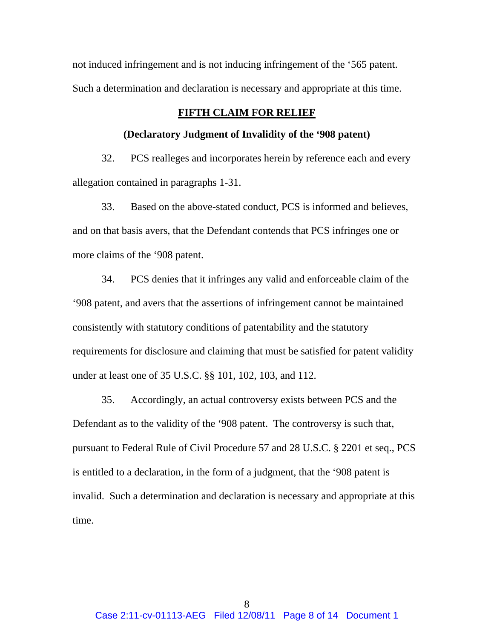not induced infringement and is not inducing infringement of the '565 patent. Such a determination and declaration is necessary and appropriate at this time.

# **FIFTH CLAIM FOR RELIEF**

### **(Declaratory Judgment of Invalidity of the '908 patent)**

32. PCS realleges and incorporates herein by reference each and every allegation contained in paragraphs 1-31.

33. Based on the above-stated conduct, PCS is informed and believes, and on that basis avers, that the Defendant contends that PCS infringes one or more claims of the '908 patent.

34. PCS denies that it infringes any valid and enforceable claim of the '908 patent, and avers that the assertions of infringement cannot be maintained consistently with statutory conditions of patentability and the statutory requirements for disclosure and claiming that must be satisfied for patent validity under at least one of 35 U.S.C. §§ 101, 102, 103, and 112.

35. Accordingly, an actual controversy exists between PCS and the Defendant as to the validity of the '908 patent. The controversy is such that, pursuant to Federal Rule of Civil Procedure 57 and 28 U.S.C. § 2201 et seq., PCS is entitled to a declaration, in the form of a judgment, that the '908 patent is invalid. Such a determination and declaration is necessary and appropriate at this time.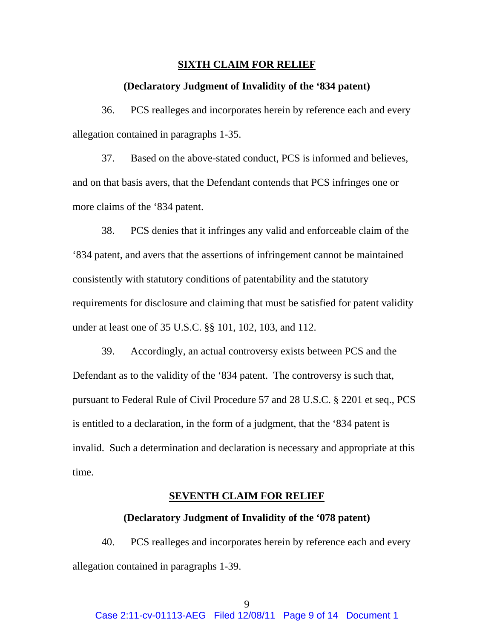#### **SIXTH CLAIM FOR RELIEF**

## **(Declaratory Judgment of Invalidity of the '834 patent)**

36. PCS realleges and incorporates herein by reference each and every allegation contained in paragraphs 1-35.

37. Based on the above-stated conduct, PCS is informed and believes, and on that basis avers, that the Defendant contends that PCS infringes one or more claims of the '834 patent.

38. PCS denies that it infringes any valid and enforceable claim of the '834 patent, and avers that the assertions of infringement cannot be maintained consistently with statutory conditions of patentability and the statutory requirements for disclosure and claiming that must be satisfied for patent validity under at least one of 35 U.S.C. §§ 101, 102, 103, and 112.

39. Accordingly, an actual controversy exists between PCS and the Defendant as to the validity of the '834 patent. The controversy is such that, pursuant to Federal Rule of Civil Procedure 57 and 28 U.S.C. § 2201 et seq., PCS is entitled to a declaration, in the form of a judgment, that the '834 patent is invalid. Such a determination and declaration is necessary and appropriate at this time.

### **SEVENTH CLAIM FOR RELIEF**

#### **(Declaratory Judgment of Invalidity of the '078 patent)**

40. PCS realleges and incorporates herein by reference each and every allegation contained in paragraphs 1-39.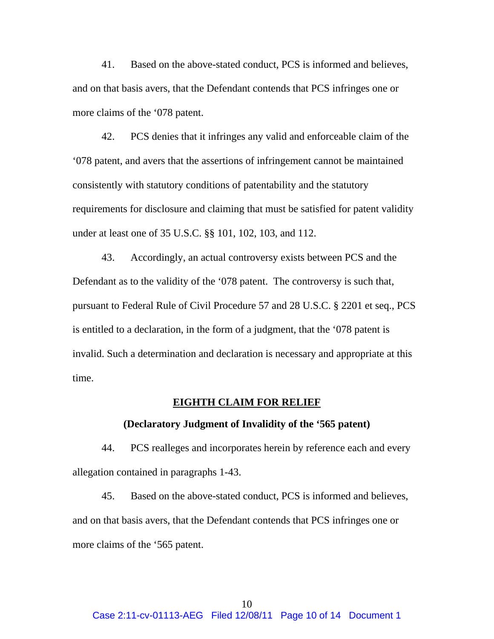41. Based on the above-stated conduct, PCS is informed and believes, and on that basis avers, that the Defendant contends that PCS infringes one or more claims of the '078 patent.

42. PCS denies that it infringes any valid and enforceable claim of the '078 patent, and avers that the assertions of infringement cannot be maintained consistently with statutory conditions of patentability and the statutory requirements for disclosure and claiming that must be satisfied for patent validity under at least one of 35 U.S.C. §§ 101, 102, 103, and 112.

43. Accordingly, an actual controversy exists between PCS and the Defendant as to the validity of the '078 patent. The controversy is such that, pursuant to Federal Rule of Civil Procedure 57 and 28 U.S.C. § 2201 et seq., PCS is entitled to a declaration, in the form of a judgment, that the '078 patent is invalid. Such a determination and declaration is necessary and appropriate at this time.

### **EIGHTH CLAIM FOR RELIEF**

## **(Declaratory Judgment of Invalidity of the '565 patent)**

44. PCS realleges and incorporates herein by reference each and every allegation contained in paragraphs 1-43.

45. Based on the above-stated conduct, PCS is informed and believes, and on that basis avers, that the Defendant contends that PCS infringes one or more claims of the '565 patent.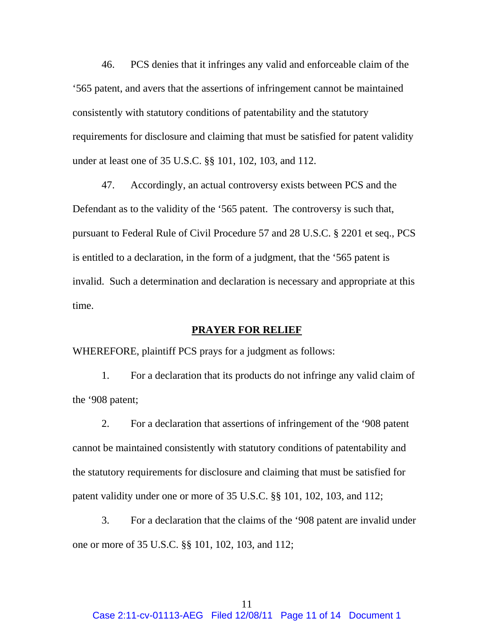46. PCS denies that it infringes any valid and enforceable claim of the '565 patent, and avers that the assertions of infringement cannot be maintained consistently with statutory conditions of patentability and the statutory requirements for disclosure and claiming that must be satisfied for patent validity under at least one of 35 U.S.C. §§ 101, 102, 103, and 112.

47. Accordingly, an actual controversy exists between PCS and the Defendant as to the validity of the '565 patent. The controversy is such that, pursuant to Federal Rule of Civil Procedure 57 and 28 U.S.C. § 2201 et seq., PCS is entitled to a declaration, in the form of a judgment, that the '565 patent is invalid. Such a determination and declaration is necessary and appropriate at this time.

# **PRAYER FOR RELIEF**

WHEREFORE, plaintiff PCS prays for a judgment as follows:

1. For a declaration that its products do not infringe any valid claim of the '908 patent;

2. For a declaration that assertions of infringement of the '908 patent cannot be maintained consistently with statutory conditions of patentability and the statutory requirements for disclosure and claiming that must be satisfied for patent validity under one or more of 35 U.S.C. §§ 101, 102, 103, and 112;

3. For a declaration that the claims of the '908 patent are invalid under one or more of 35 U.S.C. §§ 101, 102, 103, and 112;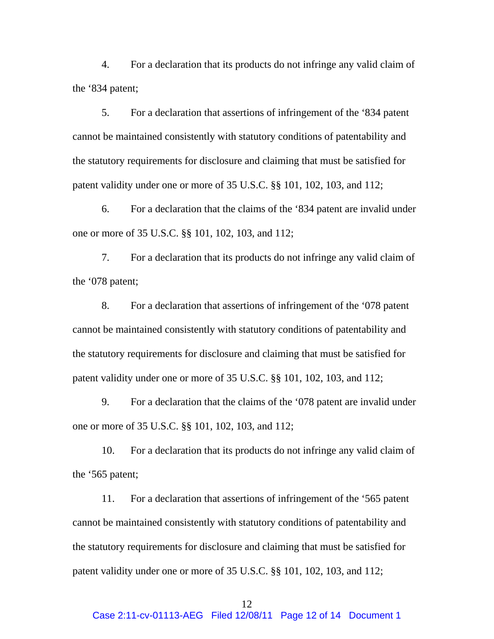4. For a declaration that its products do not infringe any valid claim of the '834 patent;

5. For a declaration that assertions of infringement of the '834 patent cannot be maintained consistently with statutory conditions of patentability and the statutory requirements for disclosure and claiming that must be satisfied for patent validity under one or more of 35 U.S.C. §§ 101, 102, 103, and 112;

6. For a declaration that the claims of the '834 patent are invalid under one or more of 35 U.S.C. §§ 101, 102, 103, and 112;

7. For a declaration that its products do not infringe any valid claim of the '078 patent;

8. For a declaration that assertions of infringement of the '078 patent cannot be maintained consistently with statutory conditions of patentability and the statutory requirements for disclosure and claiming that must be satisfied for patent validity under one or more of 35 U.S.C. §§ 101, 102, 103, and 112;

9. For a declaration that the claims of the '078 patent are invalid under one or more of 35 U.S.C. §§ 101, 102, 103, and 112;

10. For a declaration that its products do not infringe any valid claim of the '565 patent;

11. For a declaration that assertions of infringement of the '565 patent cannot be maintained consistently with statutory conditions of patentability and the statutory requirements for disclosure and claiming that must be satisfied for patent validity under one or more of 35 U.S.C. §§ 101, 102, 103, and 112;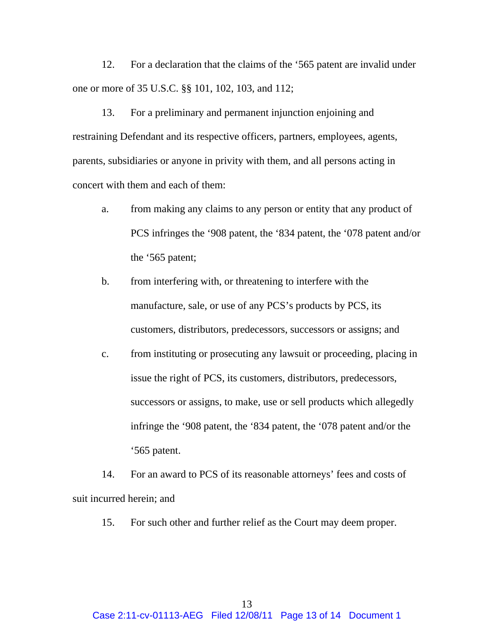12. For a declaration that the claims of the '565 patent are invalid under one or more of 35 U.S.C. §§ 101, 102, 103, and 112;

13. For a preliminary and permanent injunction enjoining and restraining Defendant and its respective officers, partners, employees, agents, parents, subsidiaries or anyone in privity with them, and all persons acting in concert with them and each of them:

- a. from making any claims to any person or entity that any product of PCS infringes the '908 patent, the '834 patent, the '078 patent and/or the '565 patent;
- b. from interfering with, or threatening to interfere with the manufacture, sale, or use of any PCS's products by PCS, its customers, distributors, predecessors, successors or assigns; and
- c. from instituting or prosecuting any lawsuit or proceeding, placing in issue the right of PCS, its customers, distributors, predecessors, successors or assigns, to make, use or sell products which allegedly infringe the '908 patent, the '834 patent, the '078 patent and/or the '565 patent.

14. For an award to PCS of its reasonable attorneys' fees and costs of suit incurred herein; and

15. For such other and further relief as the Court may deem proper.